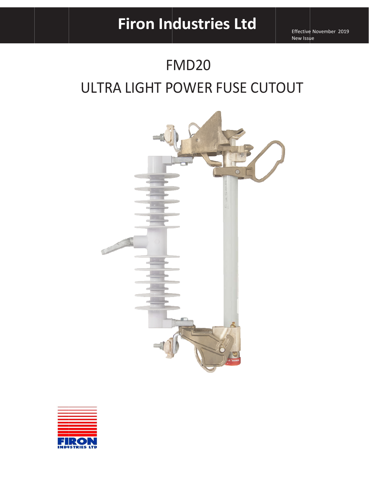**Firon Industries Ltd** 

Effective November 2019 New Issue

# **FMD20** ULTRA LIGHT POWER FUSE CUTOUT



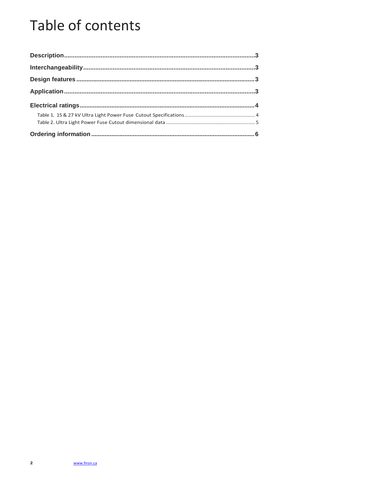## Table of contents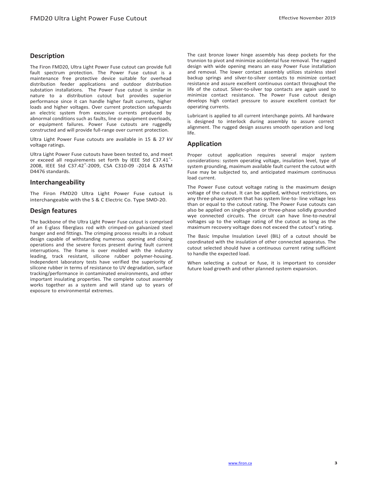#### **Description**

The Firon FMD20, Ultra Light Power Fuse cutout can provide full fault spectrum protection. The Power Fuse cutout is a maintenance free protective device suitable for overhead distribution feeder applications and outdoor distribution substation installations. The Power Fuse cutout is similar in nature to a distribution cutout but provides superior performance since it can handle higher fault currents, higher loads and higher voltages. Over current protection safeguards an electric system from excessive currents produced by abnormal conditions such as faults, line or equipment overloads, or equipment failures. Power Fuse cutouts are ruggedly constructed and will provide full‐range over current protection.

Ultra Light Power Fuse cutouts are available in 15 & 27 kV voltage ratings.

Ultra Light Power Fuse cutouts have been tested to, and meet or exceed all requirements set forth by IEEE Std C37.41™‐ 2008, IEEE Std C37.42™‐2009, CSA C310‐09 ‐2014 & ASTM D4476 standards.

#### **Interchangeability**

The Firon FMD20 Ultra Light Power Fuse cutout is interchangeable with the S & C Electric Co. Type SMD‐20.

#### **Design features**

The backbone of the Ultra Light Power Fuse cutout is comprised of an E‐glass fiberglass rod with crimped‐on galvanized steel hanger and end fittings. The crimping process results in a robust design capable of withstanding numerous opening and closing operations and the severe forces present during fault current interruptions. The frame is over molded with the industry leading, track resistant, silicone rubber polymer-housing. Independent laboratory tests have verified the superiority of silicone rubber in terms of resistance to UV degradation, surface tracking/performance in contaminated environments, and other important insulating properties. The complete cutout assembly works together as a system and will stand up to years of exposure to environmental extremes.

The cast bronze lower hinge assembly has deep pockets for the trunnion to pivot and minimize accidental fuse removal. The rugged design with wide opening means an easy Power Fuse installation and removal. The lower contact assembly utilizes stainless steel backup springs and silver‐to‐silver contacts to minimize contact resistance and assure excellent continuous contact throughout the life of the cutout. Silver‐to‐silver top contacts are again used to minimize contact resistance. The Power Fuse cutout design develops high contact pressure to assure excellent contact for operating currents.

Lubricant is applied to all current interchange points. All hardware is designed to interlock during assembly to assure correct alignment. The rugged design assures smooth operation and long life.

#### **Application**

Proper cutout application requires several major system considerations: system operating voltage, insulation level, type of system grounding, maximum available fault current the cutout with Fuse may be subjected to, and anticipated maximum continuous load current.

The Power Fuse cutout voltage rating is the maximum design voltage of the cutout. It can be applied, without restrictions, on any three-phase system that has system line-to- line voltage less than or equal to the cutout rating. The Power Fuse cutouts can also be applied on single‐phase or three‐phase solidly grounded wye connected circuits. The circuit can have line‐to‐neutral voltages up to the voltage rating of the cutout as long as the maximum recovery voltage does not exceed the cutout's rating.

The Basic Impulse Insulation Level (BIL) of a cutout should be coordinated with the insulation of other connected apparatus. The cutout selected should have a continuous current rating sufficient to handle the expected load.

When selecting a cutout or fuse, it is important to consider future load growth and other planned system expansion.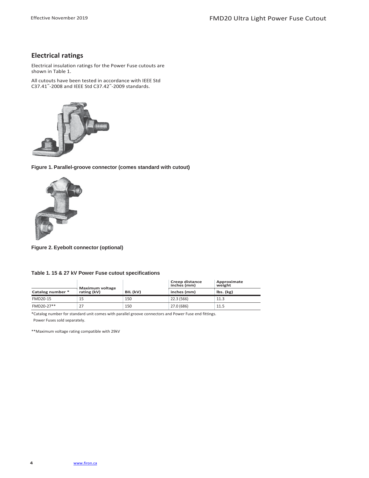## **Electrical ratings**

Electrical insulation ratings for the Power Fuse cutouts are shown in Table 1.

All cutouts have been tested in accordance with IEEE Std C37.41™‐2008 and IEEE Std C37.42™‐2009 standards.



**Figure 1. Parallel-groove connector (comes standard with cutout)** 



**Figure 2. Eyebolt connector (optional)**

#### **Table 1. 15 & 27 kV Power Fuse cutout specifications**

|                  | <b>Maximum voltage</b> |          | <b>Creep distance</b><br>inches (mm) | Approximate<br>weight           |
|------------------|------------------------|----------|--------------------------------------|---------------------------------|
| Catalog number * | rating (kV)            | BIL (kV) | inches (mm)                          | $\mathsf{Ibs}.$ $\mathsf{(kg)}$ |
| FMD20-15         | 15                     | 150      | 22.3 (566)                           | 11.3                            |
| FMD20-27**       | 27                     | 150      | 27.0 (686)                           | 11.5                            |

\*Catalog number for standard unit comes with parallel groove connectors and Power Fuse end fittings. Power Fuses sold separately.

\*\*Maximum voltage rating compatible with 29kV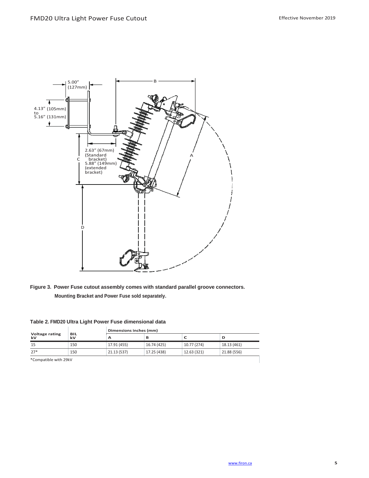



| <b>Voltage rating</b><br>kV | <b>BIL</b><br>kV |             | Dimensions inches (mm) |             |             |  |
|-----------------------------|------------------|-------------|------------------------|-------------|-------------|--|
|                             |                  | A           | в                      |             | D           |  |
| 15                          | 150              | 17.91 (455) | 16.74 (425)            | 10.77 (274) | 18.13 (461) |  |
| $27*$                       | 150              | 21.13 (537) | 17.25 (438)            | 12.63 (321) | 21.88 (556) |  |
| and the same of the con-    |                  |             |                        |             |             |  |

#### **Table 2. FMD20 Ultra Light Power Fuse dimensional data**

\*Compatible with 29kV